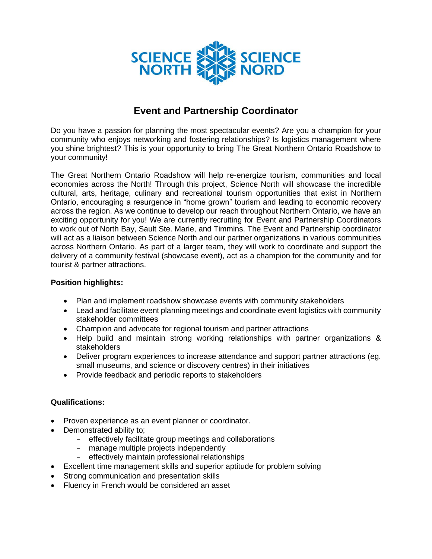

## **Event and Partnership Coordinator**

Do you have a passion for planning the most spectacular events? Are you a champion for your community who enjoys networking and fostering relationships? Is logistics management where you shine brightest? This is your opportunity to bring The Great Northern Ontario Roadshow to your community!

The Great Northern Ontario Roadshow will help re-energize tourism, communities and local economies across the North! Through this project, Science North will showcase the incredible cultural, arts, heritage, culinary and recreational tourism opportunities that exist in Northern Ontario, encouraging a resurgence in "home grown" tourism and leading to economic recovery across the region. As we continue to develop our reach throughout Northern Ontario, we have an exciting opportunity for you! We are currently recruiting for Event and Partnership Coordinators to work out of North Bay, Sault Ste. Marie, and Timmins. The Event and Partnership coordinator will act as a liaison between Science North and our partner organizations in various communities across Northern Ontario. As part of a larger team, they will work to coordinate and support the delivery of a community festival (showcase event), act as a champion for the community and for tourist & partner attractions.

## **Position highlights:**

- Plan and implement roadshow showcase events with community stakeholders
- Lead and facilitate event planning meetings and coordinate event logistics with community stakeholder committees
- Champion and advocate for regional tourism and partner attractions
- Help build and maintain strong working relationships with partner organizations & stakeholders
- Deliver program experiences to increase attendance and support partner attractions (eg. small museums, and science or discovery centres) in their initiatives
- Provide feedback and periodic reports to stakeholders

## **Qualifications:**

- Proven experience as an event planner or coordinator.
- Demonstrated ability to;
	- effectively facilitate group meetings and collaborations
	- manage multiple projects independently
	- effectively maintain professional relationships
- Excellent time management skills and superior aptitude for problem solving
- Strong communication and presentation skills
- Fluency in French would be considered an asset